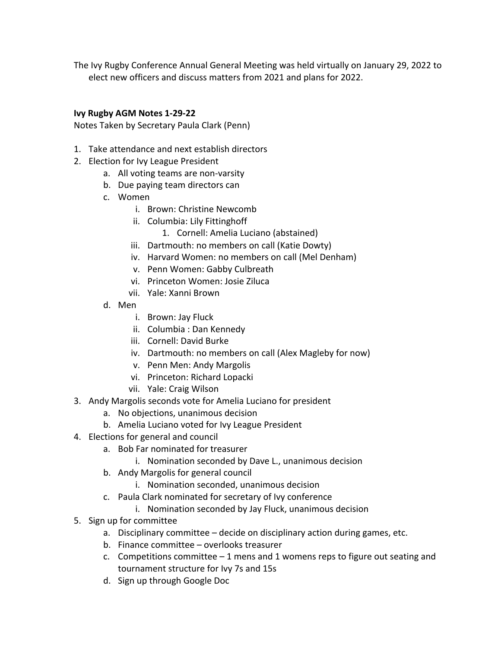The Ivy Rugby Conference Annual General Meeting was held virtually on January 29, 2022 to elect new officers and discuss matters from 2021 and plans for 2022.

## **Ivy Rugby AGM Notes 1-29-22**

Notes Taken by Secretary Paula Clark (Penn)

- 1. Take attendance and next establish directors
- 2. Election for Ivy League President
	- a. All voting teams are non-varsity
	- b. Due paying team directors can
	- c. Women
		- i. Brown: Christine Newcomb
		- ii. Columbia: Lily Fittinghoff
			- 1. Cornell: Amelia Luciano (abstained)
		- iii. Dartmouth: no members on call (Katie Dowty)
		- iv. Harvard Women: no members on call (Mel Denham)
		- v. Penn Women: Gabby Culbreath
		- vi. Princeton Women: Josie Ziluca
		- vii. Yale: Xanni Brown
	- d. Men
		- i. Brown: Jay Fluck
		- ii. Columbia : Dan Kennedy
		- iii. Cornell: David Burke
		- iv. Dartmouth: no members on call (Alex Magleby for now)
		- v. Penn Men: Andy Margolis
		- vi. Princeton: Richard Lopacki
		- vii. Yale: Craig Wilson
- 3. Andy Margolis seconds vote for Amelia Luciano for president
	- a. No objections, unanimous decision
	- b. Amelia Luciano voted for Ivy League President
- 4. Elections for general and council
	- a. Bob Far nominated for treasurer
		- i. Nomination seconded by Dave L., unanimous decision
	- b. Andy Margolis for general council
		- i. Nomination seconded, unanimous decision
	- c. Paula Clark nominated for secretary of Ivy conference
		- i. Nomination seconded by Jay Fluck, unanimous decision
- 5. Sign up for committee
	- a. Disciplinary committee decide on disciplinary action during games, etc.
	- b. Finance committee overlooks treasurer
	- c. Competitions committee  $-1$  mens and 1 womens reps to figure out seating and tournament structure for Ivy 7s and 15s
	- d. Sign up through Google Doc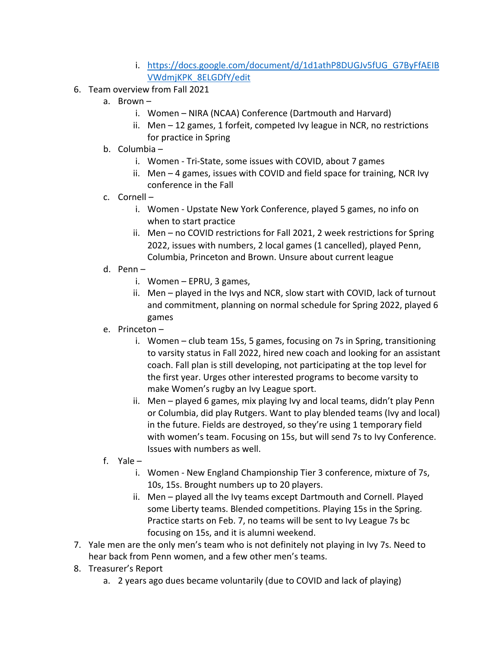- i. https://docs.google.com/document/d/1d1athP8DUGJv5fUG\_G7ByFfAEIB VWdmjKPK\_8ELGDfY/edit
- 6. Team overview from Fall 2021
	- a. Brown
		- i. Women NIRA (NCAA) Conference (Dartmouth and Harvard)
		- ii. Men 12 games, 1 forfeit, competed Ivy league in NCR, no restrictions for practice in Spring
	- b. Columbia
		- i. Women Tri-State, some issues with COVID, about 7 games
		- ii. Men 4 games, issues with COVID and field space for training, NCR Ivy conference in the Fall
	- c. Cornell
		- i. Women Upstate New York Conference, played 5 games, no info on when to start practice
		- ii. Men no COVID restrictions for Fall 2021, 2 week restrictions for Spring 2022, issues with numbers, 2 local games (1 cancelled), played Penn, Columbia, Princeton and Brown. Unsure about current league
	- d. Penn
		- i. Women EPRU, 3 games,
		- ii. Men played in the Ivys and NCR, slow start with COVID, lack of turnout and commitment, planning on normal schedule for Spring 2022, played 6 games
	- e. Princeton
		- i. Women club team 15s, 5 games, focusing on 7s in Spring, transitioning to varsity status in Fall 2022, hired new coach and looking for an assistant coach. Fall plan is still developing, not participating at the top level for the first year. Urges other interested programs to become varsity to make Women's rugby an Ivy League sport.
		- ii. Men played 6 games, mix playing Ivy and local teams, didn't play Penn or Columbia, did play Rutgers. Want to play blended teams (Ivy and local) in the future. Fields are destroyed, so they're using 1 temporary field with women's team. Focusing on 15s, but will send 7s to Ivy Conference. Issues with numbers as well.
	- f. Yale
		- i. Women New England Championship Tier 3 conference, mixture of 7s, 10s, 15s. Brought numbers up to 20 players.
		- ii. Men played all the Ivy teams except Dartmouth and Cornell. Played some Liberty teams. Blended competitions. Playing 15s in the Spring. Practice starts on Feb. 7, no teams will be sent to Ivy League 7s bc focusing on 15s, and it is alumni weekend.
- 7. Yale men are the only men's team who is not definitely not playing in Ivy 7s. Need to hear back from Penn women, and a few other men's teams.
- 8. Treasurer's Report
	- a. 2 years ago dues became voluntarily (due to COVID and lack of playing)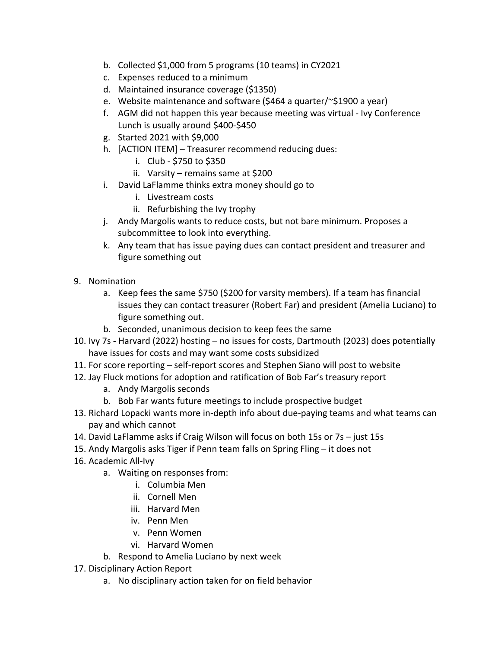- b. Collected \$1,000 from 5 programs (10 teams) in CY2021
- c. Expenses reduced to a minimum
- d. Maintained insurance coverage (\$1350)
- e. Website maintenance and software (\$464 a quarter/~\$1900 a year)
- f. AGM did not happen this year because meeting was virtual Ivy Conference Lunch is usually around \$400-\$450
- g. Started 2021 with \$9,000
- h. [ACTION ITEM] Treasurer recommend reducing dues:
	- i. Club \$750 to \$350
	- ii. Varsity remains same at \$200
- i. David LaFlamme thinks extra money should go to
	- i. Livestream costs
	- ii. Refurbishing the Ivy trophy
- j. Andy Margolis wants to reduce costs, but not bare minimum. Proposes a subcommittee to look into everything.
- k. Any team that has issue paying dues can contact president and treasurer and figure something out
- 9. Nomination
	- a. Keep fees the same \$750 (\$200 for varsity members). If a team has financial issues they can contact treasurer (Robert Far) and president (Amelia Luciano) to figure something out.
	- b. Seconded, unanimous decision to keep fees the same
- 10. Ivy 7s Harvard (2022) hosting no issues for costs, Dartmouth (2023) does potentially have issues for costs and may want some costs subsidized
- 11. For score reporting self-report scores and Stephen Siano will post to website
- 12. Jay Fluck motions for adoption and ratification of Bob Far's treasury report
	- a. Andy Margolis seconds
	- b. Bob Far wants future meetings to include prospective budget
- 13. Richard Lopacki wants more in-depth info about due-paying teams and what teams can pay and which cannot
- 14. David LaFlamme asks if Craig Wilson will focus on both 15s or 7s just 15s
- 15. Andy Margolis asks Tiger if Penn team falls on Spring Fling it does not
- 16. Academic All-Ivy
	- a. Waiting on responses from:
		- i. Columbia Men
		- ii. Cornell Men
		- iii. Harvard Men
		- iv. Penn Men
		- v. Penn Women
		- vi. Harvard Women
	- b. Respond to Amelia Luciano by next week
- 17. Disciplinary Action Report
	- a. No disciplinary action taken for on field behavior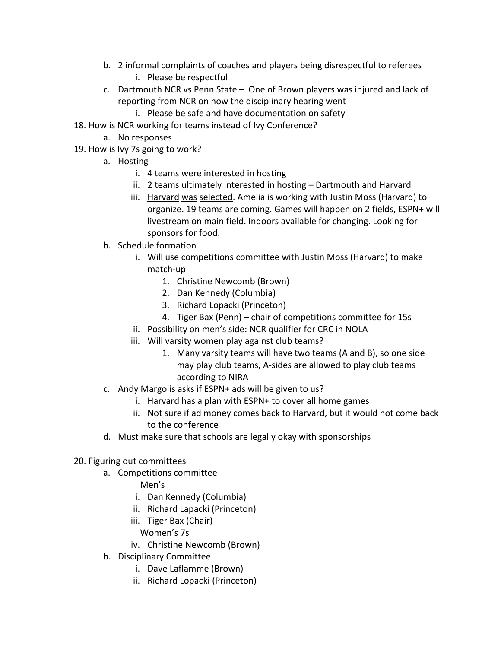- b. 2 informal complaints of coaches and players being disrespectful to referees i. Please be respectful
- c. Dartmouth NCR vs Penn State One of Brown players was injured and lack of reporting from NCR on how the disciplinary hearing went
	- i. Please be safe and have documentation on safety
- 18. How is NCR working for teams instead of Ivy Conference?
	- a. No responses
- 19. How is Ivy 7s going to work?
	- a. Hosting
		- i. 4 teams were interested in hosting
		- ii. 2 teams ultimately interested in hosting Dartmouth and Harvard
		- iii. Harvard was selected. Amelia is working with Justin Moss (Harvard) to organize. 19 teams are coming. Games will happen on 2 fields, ESPN+ will livestream on main field. Indoors available for changing. Looking for sponsors for food.
	- b. Schedule formation
		- i. Will use competitions committee with Justin Moss (Harvard) to make match-up
			- 1. Christine Newcomb (Brown)
			- 2. Dan Kennedy (Columbia)
			- 3. Richard Lopacki (Princeton)
			- 4. Tiger Bax (Penn) chair of competitions committee for 15s
		- ii. Possibility on men's side: NCR qualifier for CRC in NOLA
		- iii. Will varsity women play against club teams?
			- 1. Many varsity teams will have two teams (A and B), so one side may play club teams, A-sides are allowed to play club teams according to NIRA
	- c. Andy Margolis asks if ESPN+ ads will be given to us?
		- i. Harvard has a plan with ESPN+ to cover all home games
		- ii. Not sure if ad money comes back to Harvard, but it would not come back to the conference
	- d. Must make sure that schools are legally okay with sponsorships
- 20. Figuring out committees
	- a. Competitions committee
		- Men's
		- i. Dan Kennedy (Columbia)
		- ii. Richard Lapacki (Princeton)
		- iii. Tiger Bax (Chair)
			- Women's 7s
		- iv. Christine Newcomb (Brown)
	- b. Disciplinary Committee
		- i. Dave Laflamme (Brown)
		- ii. Richard Lopacki (Princeton)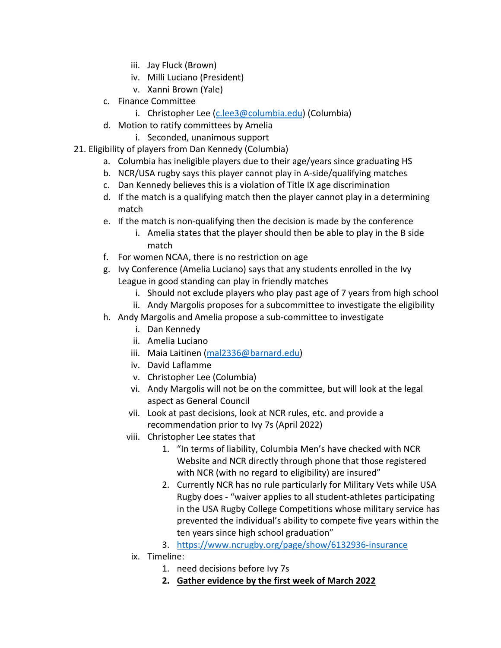- iii. Jay Fluck (Brown)
- iv. Milli Luciano (President)
- v. Xanni Brown (Yale)
- c. Finance Committee
	- i. Christopher Lee (c.lee3@columbia.edu) (Columbia)
- d. Motion to ratify committees by Amelia
	- i. Seconded, unanimous support
- 21. Eligibility of players from Dan Kennedy (Columbia)
	- a. Columbia has ineligible players due to their age/years since graduating HS
	- b. NCR/USA rugby says this player cannot play in A-side/qualifying matches
	- c. Dan Kennedy believes this is a violation of Title IX age discrimination
	- d. If the match is a qualifying match then the player cannot play in a determining match
	- e. If the match is non-qualifying then the decision is made by the conference
		- i. Amelia states that the player should then be able to play in the B side match
	- f. For women NCAA, there is no restriction on age
	- g. Ivy Conference (Amelia Luciano) says that any students enrolled in the Ivy League in good standing can play in friendly matches
		- i. Should not exclude players who play past age of 7 years from high school
		- ii. Andy Margolis proposes for a subcommittee to investigate the eligibility
	- h. Andy Margolis and Amelia propose a sub-committee to investigate
		- i. Dan Kennedy
		- ii. Amelia Luciano
		- iii. Maia Laitinen (mal2336@barnard.edu)
		- iv. David Laflamme
		- v. Christopher Lee (Columbia)
		- vi. Andy Margolis will not be on the committee, but will look at the legal aspect as General Council
		- vii. Look at past decisions, look at NCR rules, etc. and provide a recommendation prior to Ivy 7s (April 2022)
		- viii. Christopher Lee states that
			- 1. "In terms of liability, Columbia Men's have checked with NCR Website and NCR directly through phone that those registered with NCR (with no regard to eligibility) are insured"
			- 2. Currently NCR has no rule particularly for Military Vets while USA Rugby does - "waiver applies to all student-athletes participating in the USA Rugby College Competitions whose military service has prevented the individual's ability to compete five years within the ten years since high school graduation"
			- 3. https://www.ncrugby.org/page/show/6132936-insurance
		- ix. Timeline:
			- 1. need decisions before Ivy 7s
			- **2. Gather evidence by the first week of March 2022**